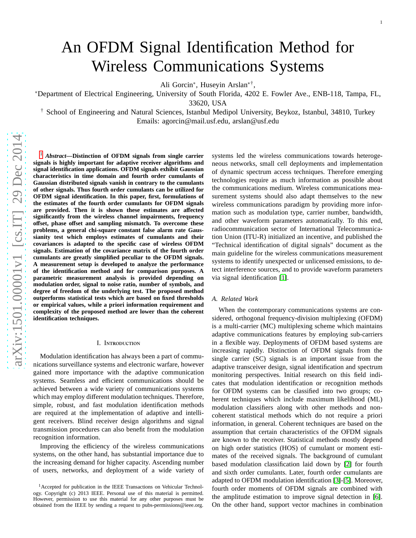# An OFDM Signal Identification Method for Wireless Communications Systems

Ali Gorcin ∗ , Huseyin Arslan∗† ,

∗Department of Electrical Engineering, University of South Florida, 4202 E. Fowler Ave., ENB-118, Tampa, FL,

33620, USA

† School of Engineering and Natural Sciences, Istanbul Medipol University, Beykoz, Istanbul, 34810, Turkey Emails: agorcin@mail.usf.edu, arslan@usf.edu

[1](#page-0-0) *Abstract***—Distinction of OFDM signals from single carrier signals is highly important for adaptive receiver algorithms and signal identification applications. OFDM signals exhibit Gaussian characteristics in time domain and fourth order cumulants o f Gaussian distributed signals vanish in contrary to the cumulants of other signals. Thus fourth order cumulants can be utilized for OFDM signal identification. In this paper, first, formulations of the estimates of the fourth order cumulants for OFDM signals are provided. Then it is shown these estimates are a** ff**ected significantly from the wireless channel impairments, frequency o**ff**set, phase o**ff**set and sampling mismatch. To overcome these problems, a general chi-square constant false alarm rate Gaussianity test which employs estimates of cumulants and their covariances is adapted to the specific case of wireless OFDM signals. Estimation of the covariance matrix of the fourth order cumulants are greatly simplified peculiar to the OFDM signals. A measurement setup is developed to analyze the performance of the identification method and for comparison purposes. A parametric measurement analysis is provided depending on modulation order, signal to noise ratio, number of symbols, and** degree of freedom of the underlying test. The proposed method **outperforms statistical tests which are based on fixed thresholds or empirical values, while a priori information requirement and complexity of the proposed method are lower than the coheren t identification techniques.**

### I. Introduction

Modulation identification has always been a part of communications surveillance systems and electronic warfare, however gained more importance with the adaptive communication systems. Seamless and e fficient communications should be achieved between a wide variety of communications systems which may employ di fferent modulation techniques. Therefore, simple, robust, and fast modulation identification methods are required at the implementation of adaptive and intelligent receivers. Blind receiver design algorithms and signal transmission procedures can also benefit from the modulatio n recognition information.

Improving the e fficiency of the wireless communications systems, on the other hand, has substantial importance due to the increasing demand for higher capacity. Ascending numbe r of users, networks, and deployment of a wide variety of systems led the wireless communications towards heterogeneous networks, small cell deployments and implementation of dynamic spectrum access techniques. Therefore emerging technologies require as much information as possible about the communications medium. Wireless communications measurement systems should also adapt themselves to the new wireless communications paradigm by providing more information such as modulation type, carrier number, bandwidth, and other waveform parameters automatically. To this end, radiocommunication sector of International Telecommunication Union (ITU-R) initialized an incentive, and published the "Technical identification of digital signals" document as the main guideline for the wireless communications measuremen t systems to identify unexpected or unlicensed emissions, to detect interference sources, and to provide waveform parameters via signal identification [\[1\]](#page-11-0).

# *A. Related Work*

When the contemporary communications systems are considered, orthogonal frequency-division multiplexing (OFDM) is a multi-carrier (MC) multiplexing scheme which maintain s adaptive communications features by employing sub-carriers in a flexible way. Deployments of OFDM based systems are increasing rapidly. Distinction of OFDM signals from the single carrier (SC) signals is an important issue from the adaptive transceiver design, signal identification and spectrum monitoring perspectives. Initial research on this field indicates that modulation identification or recognition methods for OFDM systems can be classified into two groups; coherent techniques which include maximum likelihood (ML) modulation classifiers along with other methods and noncoherent statistical methods which do not require a priori information, in general. Coherent techniques are based on the assumption that certain characteristics of the OFDM signal s are known to the receiver. Statistical methods mostly depen d on high order statistics (HOS) of cumulant or moment estimates of the received signals. The background of cumulant based modulation classification laid down by [\[2\]](#page-11-1) for fourth and sixth order cumulants. Later, fourth order cumulants ar e adapted to OFDM modulation identification [\[3\]](#page-11-2)-[\[5\]](#page-11-3). Moreover, fourth order moments of OFDM signals are combined with the amplitude estimation to improve signal detection in [\[6\]](#page-11-4) . On the other hand, support vector machines in combination

<span id="page-0-0"></span><sup>&</sup>lt;sup>1</sup>Accepted for publication in the IEEE Transactions on Vehicular Technology. Copyright (c) 2013 IEEE. Personal use of this material is permitted. However, permission to use this material for any other purposes must be obtained from the IEEE by sending a request to pubs-permissions@ieee.org.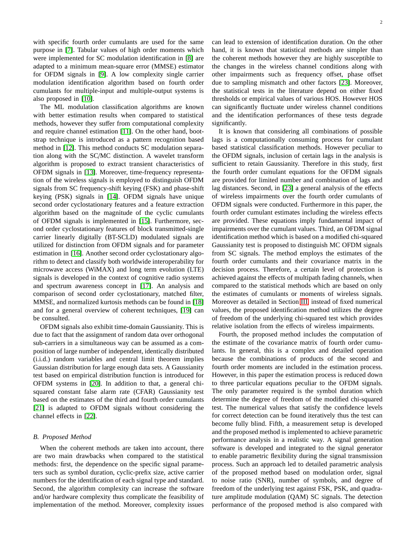with specific fourth order cumulants are used for the same purpose in [\[7\]](#page-11-5). Tabular values of high order moments which were implemented for SC modulation identification in [\[8\]](#page-11-6) are adapted to a minimum mean-square error (MMSE) estimator for OFDM signals in [\[9\]](#page-11-7). A low complexity single carrier modulation identification algorithm based on fourth order cumulants for multiple-input and multiple-output systems is also proposed in [\[10\]](#page-11-8).

The ML modulation classification algorithms are known with better estimation results when compared to statistical methods, however they suffer from computational complexity and require channel estimation [\[11\]](#page-11-9). On the other hand, bootstrap technique is introduced as a pattern recognition based method in [\[12\]](#page-11-10). This method conducts SC modulation separation along with the SC/MC distinction. A wavelet transform algorithm is proposed to extract transient characteristics of OFDM signals in [\[13\]](#page-11-11). Moreover, time-frequency representation of the wireless signals is employed to distinguish OFDM signals from SC frequency-shift keying (FSK) and phase-shift keying (PSK) signals in [\[14\]](#page-11-12). OFDM signals have unique second order cyclostationary features and a feature extraction algorithm based on the magnitude of the cyclic cumulants of OFDM signals is implemented in [\[15\]](#page-11-13). Furthermore, second order cyclostationary features of block transmitted-single carrier linearly digitally (BT-SCLD) modulated signals are utilized for distinction from OFDM signals and for parameter estimation in [\[16\]](#page-11-14). Another second order cyclostationary algorithm to detect and classify both worldwide interoperability for microwave access (WiMAX) and long term evolution (LTE) signals is developed in the context of cognitive radio systems and spectrum awareness concept in [\[17\]](#page-11-15). An analysis and comparison of second order cyclostationary, matched filter, MMSE, and normalized kurtosis methods can be found in [\[18\]](#page-11-16) and for a general overview of coherent techniques, [\[19\]](#page-11-17) can be consulted.

OFDM signals also exhibit time-domain Gaussianity. This is due to fact that the assignment of random data over orthogonal sub-carriers in a simultaneous way can be assumed as a composition of large number of independent, identically distributed (i.i.d.) random variables and central limit theorem implies Gaussian distribution for large enough data sets. A Gaussianity test based on empirical distribution function is introduced for OFDM systems in [\[20\]](#page-11-18). In addition to that, a general chisquared constant false alarm rate (CFAR) Gaussianity test based on the estimates of the third and fourth order cumulants [\[21\]](#page-11-19) is adapted to OFDM signals without considering the channel effects in [\[22\]](#page-11-20).

# *B. Proposed Method*

When the coherent methods are taken into account, there are two main drawbacks when compared to the statistical methods: first, the dependence on the specific signal parameters such as symbol duration, cyclic-prefix size, active carrier numbers for the identification of each signal type and standard. Second, the algorithm complexity can increase the software and/or hardware complexity thus complicate the feasibility of implementation of the method. Moreover, complexity issues can lead to extension of identification duration. On the other hand, it is known that statistical methods are simpler than the coherent methods however they are highly susceptible to the changes in the wireless channel conditions along with other impairments such as frequency offset, phase offset

due to sampling mismatch and other factors [\[23\]](#page-11-21). Moreover, the statistical tests in the literature depend on either fixed thresholds or empirical values of various HOS. However HOS can significantly fluctuate under wireless channel conditions and the identification performances of these tests degrade significantly.

It is known that considering all combinations of possible lags is a computationally consuming process for cumulant based statistical classification methods. However peculiar to the OFDM signals, inclusion of certain lags in the analysis is sufficient to retain Gaussianity. Therefore in this study, first the fourth order cumulant equations for the OFDM signals are provided for limited number and combination of lags and lag distances. Second, in [\[23\]](#page-11-21) a general analysis of the effects of wireless impairments over the fourth order cumulants of OFDM signals were conducted. Furthermore in this paper, the fourth order cumulant estimates including the wireless effects are provided. These equations imply fundamental impact of impairments over the cumulant values. Third, an OFDM signal identification method which is based on a modified chi-squared Gaussianity test is proposed to distinguish MC OFDM signals from SC signals. The method employs the estimates of the fourth order cumulants and their covariance matrix in the decision process. Therefore, a certain level of protection is achieved against the effects of multipath fading channels, when compared to the statistical methods which are based on only the estimates of cumulants or moments of wireless signals. Moreover as detailed in Section [III,](#page-2-0) instead of fixed numerical values, the proposed identification method utilizes the degree of freedom of the underlying chi-squared test which provides relative isolation from the effects of wireless impairments.

Fourth, the proposed method includes the computation of the estimate of the covariance matrix of fourth order cumulants. In general, this is a complex and detailed operation because the combinations of products of the second and fourth order moments are included in the estimation process. However, in this paper the estimation process is reduced down to three particular equations peculiar to the OFDM signals. The only parameter required is the symbol duration which determine the degree of freedom of the modified chi-squared test. The numerical values that satisfy the confidence levels for correct detection can be found iteratively thus the test can become fully blind. Fifth, a measurement setup is developed and the proposed method is implemented to achieve parametric performance analysis in a realistic way. A signal generation software is developed and integrated to the signal generator to enable parametric flexibility during the signal transmission process. Such an approach led to detailed parametric analysis of the proposed method based on modulation order, signal to noise ratio (SNR), number of symbols, and degree of freedom of the underlying test against FSK, PSK, and quadrature amplitude modulation (QAM) SC signals. The detection performance of the proposed method is also compared with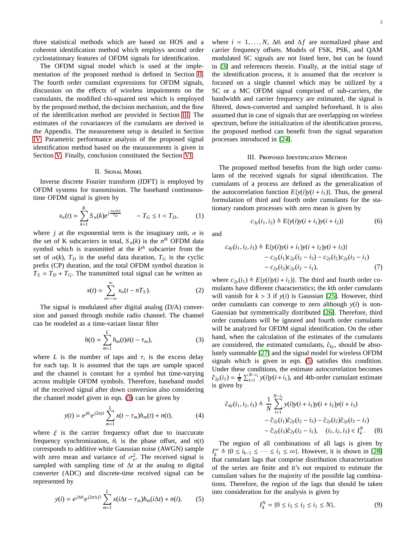three statistical methods which are based on HOS and a coherent identification method which employs second order cyclostationary features of OFDM signals for identification.

The OFDM signal model which is used at the implementation of the proposed method is defined in Section [II.](#page-2-1) The fourth order cumulant expressions for OFDM signals, discussion on the effects of wireless impairments on the cumulants, the modified chi-squared test which is employed by the proposed method, the decision mechanism, and the flow of the identification method are provided in Section [III.](#page-2-0) The estimates of the covariances of the cumulants are derived in the Appendix. The measurement setup is detailed in Section [IV.](#page-5-0) Parametric performance analysis of the proposed signal identification method based on the measurements is given in Section [V.](#page-5-1) Finally, conclusion constituted the Section [VI.](#page-9-0)

# II. Signal Model

<span id="page-2-1"></span>Inverse discrete Fourier transform (IDFT) is employed by OFDM systems for transmission. The baseband continuoustime OFDM signal is given by

<span id="page-2-6"></span>
$$
x_n(t) = \sum_{k=1}^{K} S_n(k)e^{j\frac{2\pi\alpha(k)t}{T_D}} - T_G \le t < T_D,
$$
 (1)

where *j* at the exponential term is the imaginary unit,  $\alpha$  is the set of K subcarriers in total,  $S_n(k)$  is the  $n^{th}$  OFDM data symbol which is transmitted at the  $k^{th}$  subcarrier from the set of  $\alpha(k)$ ,  $T_D$  is the useful data duration,  $T_G$  is the cyclic prefix (CP) duration, and the total OFDM symbol duration is  $T_S = T_D + T_G$ . The transmitted total signal can be written as

$$
x(t) = \sum_{n = -\infty}^{\infty} x_n(t - nT_S).
$$
 (2)

The signal is modulated after digital analog (D/A) conversion and passed through mobile radio channel. The channel can be modeled as a time-variant linear filter

<span id="page-2-2"></span>
$$
h(t) = \sum_{m=1}^{L} h_m(t)\delta(t - \tau_m),
$$
\n(3)

where *L* is the number of taps and  $\tau_i$  is the excess delay for each tap. It is assumed that the taps are sample spaced and the channel is constant for a symbol but time-varying across multiple OFDM symbols. Therefore, baseband model of the received signal after down conversion also considering the channel model given in eqn. [\(3\)](#page-2-2) can be given by

$$
y(t) = e^{j\theta_t} e^{j2\pi \xi t} \sum_{m=1}^{L} x(t - \tau_m) h_m(t) + n(t),
$$
 (4)

where  $\xi$  is the carrier frequency offset due to inaccurate frequency synchronization,  $\theta_t$  is the phase offset, and  $n(t)$ corresponds to additive white Gaussian noise (AWGN) sample with zero mean and variance of  $\sigma_n^2$ . The received signal is sampled with sampling time of ∆*t* at the analog to digital converter (ADC) and discrete-time received signal can be represented by

<span id="page-2-3"></span>
$$
y(i) = e^{j\Delta\theta_i} e^{j2\pi\Delta f i} \sum_{m=1}^{L} x(i\Delta t - \tau_m) h_m(i\Delta t) + n(i), \qquad (5)
$$

where  $i = 1, \ldots, N$ ,  $\Delta \theta_i$  and  $\Delta f$  are normalized phase and carrier frequency offsets. Models of FSK, PSK, and QAM modulated SC signals are not listed here, but can be found in [\[3\]](#page-11-2) and references therein. Finally, at the initial stage of the identification process, it is assumed that the receiver is focused on a single channel which may be utilized by a SC or a MC OFDM signal comprised of sub-carriers, the bandwidth and carrier frequency are estimated, the signal is filtered, down-converted and sampled beforehand. It is also assumed that in case of signals that are overlapping on wireless spectrum, before the initialization of the identification process, the proposed method can benefit from the signal separation processes introduced in [\[24\]](#page-11-22).

#### III. Proposed Identification Method

<span id="page-2-0"></span>The proposed method benefits from the high order cumulants of the received signals for signal identification. The cumulants of a process are defined as the generalization of the autocorrelation function  $E\{y(i)y(i + i_1)\}\$ . Thus, the general formulation of third and fourth order cumulants for the stationary random processes with zero mean is given by

$$
c_{3y}(i_1, i_2) \triangleq E\{y(i)y(i + i_1)y(i + i_2)\}\tag{6}
$$

and

$$
c_{4y}(i_1, i_2, i_3) \triangleq \mathbb{E}\{y(i)y(i+i_1)y(i+i_2)y(i+i_3)\}\
$$
  
-  $c_{2y}(i_1)c_{2y}(i_2 - i_3) - c_{2y}(i_2)c_{2y}(i_3 - i_1)$   
-  $c_{2y}(i_3)c_{2y}(i_2 - i_1)$ , (7)

where  $c_{2y}(i_1) \triangleq E\{y(i)y(i + i_1)\}\)$ . The third and fourth order cumulants have different characteristics; the *k*th order cumulants will vanish for  $k > 3$  if  $y(i)$  is Gaussian [\[25\]](#page-11-23). However, third order cumulants can converge to zero although *y*(*i*) is non-Gaussian but symmetrically distributed [\[26\]](#page-11-24). Therefore, third order cumulants will be ignored and fourth order cumulants will be analyzed for OFDM signal identification. On the other hand, when the calculation of the estimates of the cumulants are considered, the estimated cumulants,  $\hat{c}_{kv}$ , should be absolutely summable [\[27\]](#page-11-25) and the signal model for wireless OFDM signals which is given in eqn. [\(5\)](#page-2-3) satisfies this condition. Under these conditions, the estimate autocorrelation becomes  $\hat{c}_{2y}(i_1) = \frac{1}{N} \sum_{i=1}^{N-i_1} y(i)y(i+i_1)$ , and 4th-order cumulant estimate is given by

$$
\hat{c}_{4y}(i_1, i_2, i_3) \triangleq \frac{1}{N} \sum_{i=1}^{N-i_1} y(i)y(i + i_1)y(i + i_2)y(i + i_3) \n- \hat{c}_{2y}(i_1)\hat{c}_{2y}(i_2 - i_3) - \hat{c}_{2y}(i_2)\hat{c}_{2y}(i_3 - i_1) \n- \hat{c}_{2y}(i_3)\hat{c}_{2y}(i_2 - i_1), \quad (i_1, i_2, i_3) \in I_4^N.
$$
\n(8)

The region of all combinations of all lags is given by  $I_k^{\infty}$  ≜ {0 ≤ *i*<sub>*k*−1</sub> ≤ · · · ≤ *i*<sub>1</sub> ≤ ∞}. However, it is shown in [\[28\]](#page-11-26) that cumulant lags that comprise distribution characterization of the series are finite and it's not required to estimate the cumulant values for the majority of the possible lag combinations. Therefore, the region of the lags that should be taken into consideration for the analysis is given by

<span id="page-2-5"></span><span id="page-2-4"></span>
$$
I_4^N = \{0 \le i_3 \le i_2 \le i_1 \le N\},\tag{9}
$$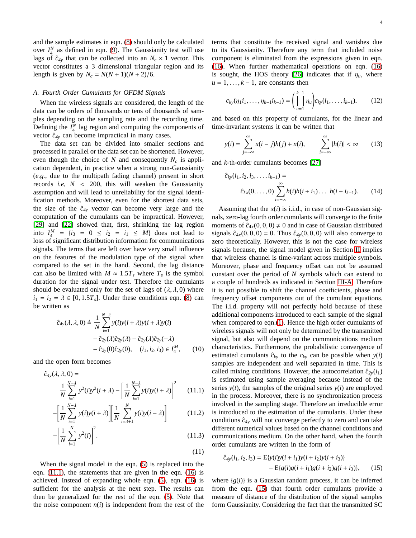4

and the sample estimates in eqn. [\(8\)](#page-2-4) should only be calculated over  $I_4^N$  as defined in eqn. [\(9\)](#page-2-5). The Gaussianity test will use lags of  $\hat{c}_{4y}$  that can be collected into an  $N_c \times 1$  vector. This vector constitutes a 3 dimensional triangular region and its length is given by  $N_c = N(N + 1)(N + 2)/6$ .

# <span id="page-3-1"></span>*A. Fourth Order Cumulants for OFDM Signals*

When the wireless signals are considered, the length of the data can be orders of thousands or tens of thousands of samples depending on the sampling rate and the recording time. Defining the  $I_4^N$  lag region and computing the components of vector  $\hat{c}_{4v}$  can become impractical in many cases.

The data set can be divided into smaller sections and processed in parallel or the data set can be shortened. However, even though the choice of  $N$  and consequently  $N_c$  is application dependent, in practice when a strong non-Gaussianity (*e.g.*, due to the multipath fading channel) present in short records *i.e*, *N* < 200, this will weaken the Gaussianity assumption and will lead to unreliability for the signal identification methods. Moreover, even for the shortest data sets, the size of the  $\hat{c}_{4y}$  vector can become very large and the computation of the cumulants can be impractical. However, [\[29\]](#page-11-27) and [\[22\]](#page-11-20) showed that, first, shrinking the lag region into  $I_4^M = \{i_3 = 0 \le i_2 = i_1 \le M\}$  does not lead to loss of significant distribution information for communications signals. The terms that are left over have very small influence on the features of the modulation type of the signal when compared to the set in the hand. Second, the lag distance can also be limited with  $M \approx 1.5T_s$  where  $T_s$  is the symbol duration for the signal under test. Therefore the cumulants should be evaluated only for the set of lags of  $(\lambda, \lambda, 0)$  where  $i_1 = i_2 = \lambda \in [0, 1.5T_s]$ . Under these conditions eqn. [\(8\)](#page-2-4) can be written as

$$
\hat{c}_{4y}(\lambda, \lambda, 0) \triangleq \frac{1}{N} \sum_{i=1}^{N-\lambda} y(i)y(i+\lambda)y(i+\lambda)y(i)
$$

$$
- \hat{c}_{2y}(\lambda)\hat{c}_{2y}(\lambda) - \hat{c}_{2y}(\lambda)\hat{c}_{2y}(-\lambda)
$$

$$
- \hat{c}_{2y}(0)\hat{c}_{2y}(0), \quad (i_1, i_2, i_3) \in I_4^M, \quad (10)
$$

and the open form becomes

$$
\hat{c}_{4y}(\lambda, \lambda, 0) = \frac{1}{N} \sum_{i=1}^{N-\lambda} y^2(i) y^2(i+\lambda) - \left[ \frac{1}{N} \sum_{i=1}^{N-\lambda} y(i) y(i+\lambda) \right]^2 \tag{11.1}
$$

$$
-\left[\frac{1}{N}\sum_{i=1}^{N-\lambda}y(i)y(i+\lambda)\right]\left[\frac{1}{N}\sum_{i=\lambda+1}^{N}y(i)y(i-\lambda)\right]
$$
(11.2)

$$
-\left[\frac{1}{N}\sum_{i=1}^{N} y^{2}(i)\right]^{2}.
$$
\n(11.3)

When the signal model in the eqn. [\(5\)](#page-2-3) is replaced into the eqn. [\(11.1\)](#page-3-0), the statements that are given in the eqn. [\(16\)](#page-4-0) is achieved. Instead of expanding whole eqn. [\(5\)](#page-2-3), eqn. [\(16\)](#page-4-0) is sufficient for the analysis at the next step. The results can then be generalized for the rest of the eqn. [\(5\)](#page-2-3). Note that the noise component  $n(i)$  is independent from the rest of the terms that constitute the received signal and vanishes due to its Gaussianity. Therefore any term that included noise component is eliminated from the expressions given in eqn. [\(16\)](#page-4-0). When further mathematical operations on eqn. [\(16\)](#page-4-0) is sought, the HOS theory [\[26\]](#page-11-24) indicates that if  $\eta_u$ , where  $u = 1, \ldots, k - 1$ , are constants then

$$
c_{ky}(\eta_1 i_1, \ldots, \eta_{k-1} i_{k-1}) = \left(\prod_{u=1}^{k-1} \eta_u\right) c_{ky}(i_1, \ldots, i_{k-1}), \qquad (12)
$$

and based on this property of cumulants, for the linear and time-invariant systems it can be written that

$$
y(i) = \sum_{j=-\infty}^{\infty} x(i-j)h(j) + n(i), \qquad \sum_{i=-\infty}^{\infty} |h(i)| < \infty \qquad (13)
$$

and *k*-th-order cumulants becomes [\[27\]](#page-11-25)

<span id="page-3-4"></span>
$$
\hat{c}_{ky}(i_1, i_2, i_3, \dots, i_{k-1}) =
$$
\n
$$
\hat{c}_{kx}(0, \dots, 0) \sum_{i=-\infty}^{\infty} h(i)h(i + i_1) \dots h(i + i_{k-1}).
$$
\n(14)

Assuming that the  $x(i)$  is i.i.d., in case of non-Gaussian signals, zero-lag fourth order cumulants will converge to the finite moments of  $\hat{c}_{4x}(0,0,0) \neq 0$  and in case of Gaussian distributed signals  $\hat{c}_{4x}(0,0,0) = 0$ . Thus  $\hat{c}_{4y}(0,0,0)$  will also converge to zero theoretically. However, this is not the case for wireless signals because, the signal model given in Section [II](#page-2-1) implies that wireless channel is time-variant across multiple symbols. Moreover, phase and frequency offset can not be assumed constant over the period of *N* symbols which can extend to a couple of hundreds as indicated in Section [III-A.](#page-3-1) Therefore it is not possible to shift the channel coefficients, phase and frequency offset components out of the cumulant equations. The i.i.d. property will not perfectly hold because of these additional components introduced to each sample of the signal when compared to eqn.[\(1\)](#page-2-6). Hence the high order cumulants of wireless signals will not only be determined by the transmitted signal, but also will depend on the communications medium characteristics. Furthermore, the probabilistic convergence of estimated cumulants  $\hat{c}_{ky}$  to the  $c_{ky}$  can be possible when  $y(i)$ samples are independent and well separated in time. This is called mixing conditions. However, the autocorrelation  $\hat{c}_{2y}(i_1)$ is estimated using sample averaging because instead of the series  $y(t)$ , the samples of the original series  $y(t)$  are employed in the process. Moreover, there is no synchronization process involved in the sampling stage. Therefore an irreducible error is introduced to the estimation of the cumulants. Under these conditions  $\hat{c}_{4y}$  will not converge perfectly to zero and can take different numerical values based on the channel conditions and communications medium. On the other hand, when the fourth order cumulants are written in the form of

<span id="page-3-3"></span><span id="page-3-2"></span><span id="page-3-0"></span>
$$
\hat{c}_{4y}(i_1, i_2, i_3) = \mathbb{E}\{y(i)y(i + i_1)y(i + i_2)y(i + i_3)\} - \mathbb{E}\{g(i)g(i + i_1)g(i + i_2)g(i + i_3)\},\tag{15}
$$

where  $\{g(i)\}\$ is a Gaussian random process, it can be inferred from the eqn. [\(15\)](#page-3-2) that fourth order cumulants provide a measure of distance of the distribution of the signal samples form Gaussianity. Considering the fact that the transmitted SC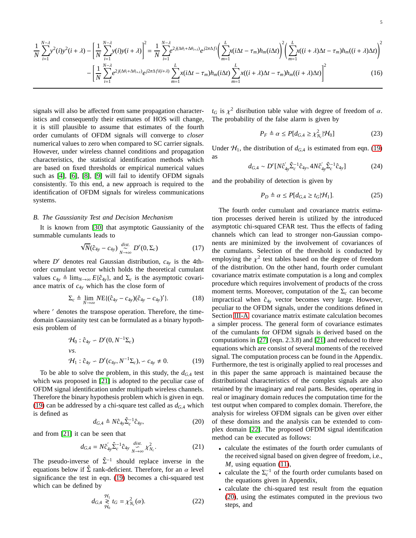$$
y^{2}(i)y^{2}(i+\lambda) - \left[\frac{1}{N}\sum_{i=1}^{N-\lambda}y(i)y(i+\lambda)\right]^{2} = \frac{1}{N}\sum_{i=1}^{N-\lambda}e^{2j(\Delta\theta_{i}+\Delta\theta_{i+\lambda})}e^{j2\pi\Delta ft}\left(\sum_{m=1}^{L}x(i\Delta t-\tau_{m})h_{m}(i\Delta t)\right)^{2}\left(\sum_{m=1}^{L}x((i+\lambda)\Delta t-\tau_{m})h_{m}((i+\lambda)\Delta t)\right)^{2}
$$

$$
-\left[\frac{1}{N}\sum_{i=1}^{N-\lambda}e^{2j(\Delta\theta_{i}+\Delta\theta_{i+\lambda})}e^{j2\pi\Delta ft(i+\lambda)}\sum_{m=1}^{L}x(i\Delta t-\tau_{m})h_{m}(i\Delta t)\sum_{m=1}^{L}x((i+\lambda)\Delta t-\tau_{m})h_{m}((i+\lambda)\Delta t)\right]^{2}
$$
(16)

signals will also be affected from same propagation characteristics and consequently their estimates of HOS will change, it is still plausible to assume that estimates of the fourth order cumulants of OFDM signals will converge to *closer* numerical values to zero when compared to SC carrier signals. However, under wireless channel conditions and propagation characteristics, the statistical identification methods which are based on fixed thresholds or empirical numerical values such as [\[4\]](#page-11-28), [\[6\]](#page-11-4), [\[8\]](#page-11-6), [\[9\]](#page-11-7) will fail to identify OFDM signals consistently. To this end, a new approach is required to the identification of OFDM signals for wireless communications systems.

### <span id="page-4-5"></span>*B. The Gaussianity Test and Decision Mechanism*

−

*N*

*i*=1

1 *N* X *N*−λ *i*=1

It is known from [\[30\]](#page-11-29) that asymptotic Gaussianity of the summable cumulants leads to

$$
\sqrt{N}(\hat{c}_{4y} - c_{4y}) \underset{N \to \infty}{\overset{dist.}{\sim}} D^{r}(0, \Sigma_c) \tag{17}
$$

where  $D^r$  denotes real Gaussian distribution,  $c_{4y}$  is the 4thorder cumulant vector which holds the theoretical cumulant values  $c_{4y} \triangleq \lim_{N \to \infty} E\{\hat{c}_{4y}\}\$ , and  $\Sigma_c$  is the asymptotic covariance matrix of  $c_{4y}$  which has the close form of

$$
\Sigma_c \triangleq \lim_{N \to \infty} N \mathbb{E} \{ (\hat{c}_{4y} - c_{4y}) (\hat{c}_{4y} - c_{4y})' \}. \tag{18}
$$

where  $'$  denotes the transpose operation. Therefore, the timedomain Gaussianity test can be formulated as a binary hypothesis problem of

$$
\mathcal{H}_0: \hat{c}_{4y} \sim D^r(0, N^{-1}\Sigma_c)
$$
  
\n*vs.*  
\n
$$
\mathcal{H}_1: \hat{c}_{4y} \sim D^r(c_{4y}, N^{-1}\Sigma_c), \sim c_{4y} \neq 0.
$$
 (19)

To be able to solve the problem, in this study, the  $d_{G,4}$  test which was proposed in [\[21\]](#page-11-19) is adopted to the peculiar case of OFDM signal identification under multipath wireless channels. Therefore the binary hypothesis problem which is given in eqn. [\(19\)](#page-4-1) can be addressed by a chi-square test called as  $d_{G,4}$  which is defined as

<span id="page-4-2"></span>
$$
d_{G,4} \triangleq N\hat{c}_{4y}\hat{\Sigma}_c^{-1}\hat{c}_{4y},\tag{20}
$$

and from [\[21\]](#page-11-19) it can be seen that

$$
d_{G,4} = N\hat{c}_{4y}'\hat{\Sigma}_c^{-1}\hat{c}_{4y}\overset{dist.}{\underset{N\to\infty}{\sim}}\chi^2_{N_c}.
$$
 (21)

The pseudo-inverse of  $\hat{\Sigma}^{-1}$  should replace inverse in the equations below if  $\hat{\Sigma}$  rank-deficient. Therefore, for an  $\alpha$  level significance the test in eqn. [\(19\)](#page-4-1) becomes a chi-squared test which can be defined by

<span id="page-4-3"></span>
$$
d_{G,4} \underset{\mathcal{H}_0}{\geq} t_G = \chi^2_{N_c}(\alpha). \tag{22}
$$

 $t_G$  is  $\chi^2$  disribution table value with degree of freedom of  $\alpha$ . The probability of the false alarm is given by

$$
P_F \triangleq \alpha \le P[d_{G,4} \ge \chi^2_{N_c} | \mathcal{H}_0]
$$
 (23)

<span id="page-4-0"></span>5

Under  $H_1$ , the distribution of  $d_{G,4}$  is estimated from eqn. [\(19\)](#page-4-1) as

$$
d_{G,4} \sim D^{r} [N \hat{c}_{4y}^{'} \hat{\Sigma}_{c}^{-1} \hat{c}_{4y}, 4N \hat{c}_{4y}^{'} \hat{\Sigma}_{c}^{-1} \hat{c}_{4y}]
$$
 (24)

and the probability of detection is given by

<span id="page-4-4"></span>
$$
P_D \triangleq \alpha \le P[d_{G,4} \ge t_G|\mathcal{H}_1].\tag{25}
$$

The fourth order cumulant and covariance matrix estimation processes derived herein is utilized by the introduced asymptotic chi-squared CFAR test. Thus the effects of fading channels which can lead to stronger non-Gaussian components are minimized by the involvement of covariances of the cumulants. Selection of the threshold is conducted by employing the  $\chi^2$  test tables based on the degree of freedom of the distribution. On the other hand, fourth order cumulant covariance matrix estimate computation is a long and complex procedure which requires involvement of products of the cross moment terms. Moreover, computation of the  $\Sigma_c$  can become impractical when  $\hat{c}_{4y}$  vector becomes very large. However, peculiar to the OFDM signals, under the conditions defined in Section [III-A,](#page-3-1) covariance matrix estimate calculation becomes a simpler process. The general form of covariance estimates of the cumulants for OFDM signals is derived based on the computations in [\[27\]](#page-11-25) (eqn. 2.3.8) and [\[21\]](#page-11-19) and reduced to three equations which are consist of several moments of the received signal. The computation process can be found in the Appendix. Furthermore, the test is originally applied to real processes and in this paper the same approach is maintained because the distributional characteristics of the complex signals are also retained by the imaginary and real parts. Besides, operating in real or imaginary domain reduces the computation time for the test output when compared to complex domain. Therefore, the analysis for wireless OFDM signals can be given over either of these domains and the analysis can be extended to complex domain [\[22\]](#page-11-20). The proposed OFDM signal identification method can be executed as follows:

- <span id="page-4-1"></span>• calculate the estimates of the fourth order cumulants of the received signal based on given degree of freedom, i.e., *M*, using equation [\(11\)](#page-3-3),
- calculate the  $\Sigma_c^{-1}$  of the fourth order cumulants based on the equations given in Appendix,
- calculate the chi-squared test result from the equation [\(20\)](#page-4-2), using the estimates computed in the previous two steps, and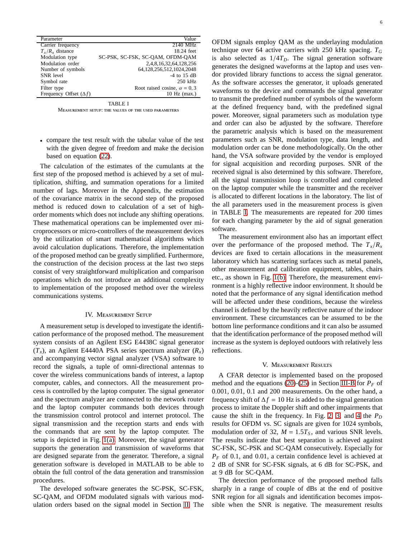| Parameter                     | Value                              |
|-------------------------------|------------------------------------|
| Carrier frequency             | 2140 MHz                           |
| $T_r/R_r$ distance            | 18.24 feet                         |
| Modulation type               | SC-PSK, SC-FSK, SC-OAM, OFDM-OAM   |
| Modulation order              | 2.4.8.16.32.64.128.256             |
| Number of symbols             | 64, 128, 256, 512, 1024, 2048      |
| SNR level                     | $-4$ to 15 dB                      |
| Symbol rate                   | $250$ kHz                          |
| Filter type                   | Root raised cosine, $\alpha = 0.3$ |
| Frequency Offset $(\Delta f)$ | $10$ Hz (max.)                     |
|                               | TABLE                              |

<span id="page-5-2"></span>Measurement setup: the values of the used parameters

• compare the test result with the tabular value of the test with the given degree of freedom and make the decision based on equation [\(22\)](#page-4-3).

The calculation of the estimates of the cumulants at the first step of the proposed method is achieved by a set of multiplication, shifting, and summation operations for a limited number of lags. Moreover in the Appendix, the estimation of the covariance matrix in the second step of the proposed method is reduced down to calculation of a set of highorder moments which does not include any shifting operations. These mathematical operations can be implemented over microprocessors or micro-controllers of the measurement devices by the utilization of smart mathematical algorithms which avoid calculation duplications. Therefore, the implementation of the proposed method can be greatly simplified. Furthermore, the construction of the decision process at the last two steps consist of very straightforward multiplication and comparison operations which do not introduce an additional complexity to implementation of the proposed method over the wireless communications systems.

#### IV. Measurement Setup

<span id="page-5-0"></span>A measurement setup is developed to investigate the identification performance of the proposed method. The measurement system consists of an Agilent ESG E4438C signal generator  $(T_x)$ , an Agilent E4440A PSA series spectrum analyzer  $(R_x)$ and accompanying vector signal analyzer (VSA) software to record the signals, a tuple of omni-directional antennas to cover the wireless communications bands of interest, a laptop computer, cables, and connectors. All the measurement process is controlled by the laptop computer. The signal generator and the spectrum analyzer are connected to the network router and the laptop computer commands both devices through the transmission control protocol and internet protocol. The signal transmission and the reception starts and ends with the commands that are sent by the laptop computer. The setup is depicted in Fig. [1\(a\).](#page-6-0) Moreover, the signal generator supports the generation and transmission of waveforms that are designed separate from the generator. Therefore, a signal generation software is developed in MATLAB to be able to obtain the full control of the data generation and transmission procedures.

The developed software generates the SC-PSK, SC-FSK, SC-QAM, and OFDM modulated signals with various modulation orders based on the signal model in Section [II.](#page-2-1) The OFDM signals employ QAM as the underlaying modulation technique over 64 active carriers with 250 kHz spacing. *T<sup>G</sup>* is also selected as 1/4*TD*. The signal generation software generates the designed waveforms at the laptop and uses vendor provided library functions to access the signal generator. As the software accesses the generator, it uploads generated waveforms to the device and commands the signal generator to transmit the predefined number of symbols of the waveform at the defined frequency band, with the predefined signal power. Moreover, signal parameters such as modulation type and order can also be adjusted by the software. Therefore the parametric analysis which is based on the measurement parameters such as SNR, modulation type, data length, and modulation order can be done methodologically. On the other hand, the VSA software provided by the vendor is employed for signal acquisition and recording purposes. SNR of the received signal is also determined by this software. Therefore, all the signal transmission loop is controlled and completed on the laptop computer while the transmitter and the receiver is allocated to different locations in the laboratory. The list of the all parameters used in the measurement process is given in TABLE [I.](#page-5-2) The measurements are repeated for 200 times for each changing parameter by the aid of signal generation software.

The measurement environment also has an important effect over the performance of the proposed method. The  $T_x/R_x$ devices are fixed to certain allocations in the measurement laboratory which has scattering surfaces such as metal panels, other measurement and calibration equipment, tables, chairs etc., as shown in Fig. [1\(b\).](#page-6-1) Therefore, the measurement environment is a highly reflective indoor environment. It should be noted that the performance of any signal identification method will be affected under these conditions, because the wireless channel is defined by the heavily reflective nature of the indoor environment. These circumstances can be assumed to be the bottom line performance conditions and it can also be assumed that the identification performance of the proposed method will increase as the system is deployed outdoors with relatively less reflections.

#### V. Measurement Results

<span id="page-5-1"></span>A CFAR detector is implemented based on the proposed method and the equations [\(20\)](#page-4-2)-[\(25\)](#page-4-4) in Section [III-B](#page-4-5) for  $P_F$  of 0.001, 0.01, 0.1 and 200 measurements. On the other hand, a frequency shift of  $\Delta f = 10$  Hz is added to the signal generation process to imitate the Doppler shift and other impairments that cause the shift in the frequency. In Fig. [2,](#page-6-2) [3,](#page-6-3) and [4](#page-6-4) the *P<sup>D</sup>* results for OFDM vs. SC signals are given for 1024 symbols, modulation order of 32,  $M = 1.5T<sub>S</sub>$ , and various SNR levels. The results indicate that best separation is achieved against SC-FSK, SC-PSK and SC-QAM consecutively. Especially for *P<sup>F</sup>* of 0.1, and 0.01, a certain confidence level is achieved at 2 dB of SNR for SC-FSK signals, at 6 dB for SC-PSK, and at 9 dB for SC-QAM.

The detection performance of the proposed method falls sharply in a range of couple of dBs at the end of positive SNR region for all signals and identification becomes impossible when the SNR is negative. The measurement results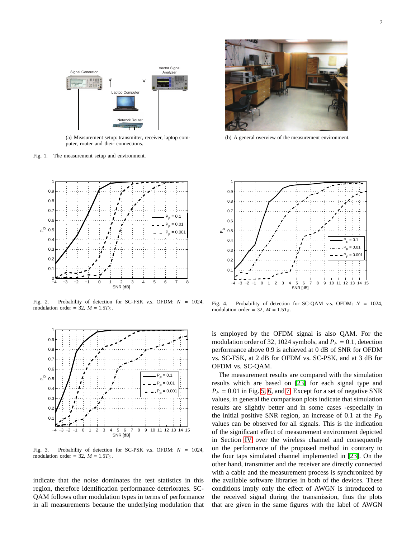<span id="page-6-0"></span>

(a) Measurement setup: transmitter, receiver, laptop computer, router and their connections.

Fig. 1. The measurement setup and environment.



<span id="page-6-2"></span>Fig. 2. Probability of detection for SC-FSK v.s. OFDM: *N* = 1024, modulation order = 32,  $M = 1.5T<sub>S</sub>$ .



<span id="page-6-3"></span>Fig. 3. Probability of detection for SC-PSK v.s. OFDM: *N* = 1024, modulation order = 32,  $M = 1.5T<sub>S</sub>$ .

indicate that the noise dominates the test statistics in this region, therefore identification performance deteriorates. SC-QAM follows other modulation types in terms of performance in all measurements because the underlying modulation that



(b) A general overview of the measurement environment.

<span id="page-6-1"></span>

<span id="page-6-4"></span>Fig. 4. Probability of detection for SC-QAM v.s. OFDM: *N* = 1024, modulation order = 32,  $M = 1.5T<sub>S</sub>$ .

is employed by the OFDM signal is also QAM. For the modulation order of 32, 1024 symbols, and  $P_F = 0.1$ , detection performance above 0.9 is achieved at 0 dB of SNR for OFDM vs. SC-FSK, at 2 dB for OFDM vs. SC-PSK, and at 3 dB for OFDM vs. SC-QAM.

The measurement results are compared with the simulation results which are based on [\[23\]](#page-11-21) for each signal type and  $P_F = 0.01$  in Fig. [5,](#page-7-0) [6,](#page-7-1) and [7.](#page-7-2) Except for a set of negative SNR values, in general the comparison plots indicate that simulation results are slightly better and in some cases -especially in the initial positive SNR region, an increase of 0.1 at the  $P_D$ values can be observed for all signals. This is the indication of the significant effect of measurement environment depicted in Section [IV](#page-5-0) over the wireless channel and consequently on the performance of the proposed method in contrary to the four taps simulated channel implemented in [\[23\]](#page-11-21). On the other hand, transmitter and the receiver are directly connected with a cable and the measurement process is synchronized by the available software libraries in both of the devices. These conditions imply only the effect of AWGN is introduced to the received signal during the transmission, thus the plots that are given in the same figures with the label of AWGN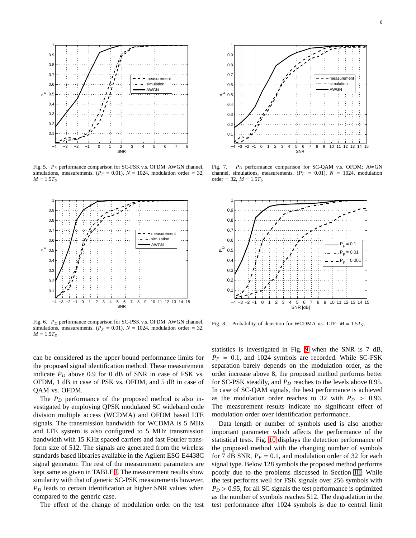

<span id="page-7-0"></span>Fig. 5. *P<sub>D</sub>* performance comparison for SC-FSK v.s. OFDM: AWGN channel, simulations, measurements. ( $P_F = 0.01$ ),  $N = 1024$ , modulation order = 32,  $M = 1.5T_s$ 



<span id="page-7-1"></span>Fig. 6. *P<sub>D</sub>* performance comparison for SC-PSK v.s. OFDM: AWGN channel, simulations, measurements. ( $P_F = 0.01$ ),  $N = 1024$ , modulation order = 32,  $M = 1.5T<sub>S</sub>$ 

can be considered as the upper bound performance limits for the proposed signal identification method. These measurement indicate  $P_D$  above 0.9 for 0 dB of SNR in case of FSK vs. OFDM, 1 dB in case of PSK vs. OFDM, and 5 dB in case of QAM vs. OFDM.

The  $P<sub>D</sub>$  performance of the proposed method is also investigated by employing QPSK modulated SC wideband code division multiple access (WCDMA) and OFDM based LTE signals. The transmission bandwidth for WCDMA is 5 MHz and LTE system is also configured to 5 MHz transmission bandwidth with 15 KHz spaced carriers and fast Fourier transform size of 512. The signals are generated from the wireless standards based libraries available in the Agilent ESG E4438C signal generator. The rest of the measurement parameters are kept same as given in TABLE [I.](#page-5-2) The measurement results show similarity with that of generic SC-PSK measurements however, *P<sup>D</sup>* leads to certain identification at higher SNR values when compared to the generic case.

The effect of the change of modulation order on the test



<span id="page-7-2"></span>Fig. 7. *P<sub>D</sub>* performance comparison for SC-QAM v.s. OFDM: AWGN channel, simulations, measurements.  $(P_F = 0.01)$ ,  $N = 1024$ , modulation  $order = 32, M = 1.5T_S$ 



Fig. 8. Probability of detection for WCDMA v.s. LTE:  $M = 1.5T<sub>S</sub>$ .

statistics is investigated in Fig. [9](#page-8-0) when the SNR is 7 dB,  $P_F = 0.1$ , and 1024 symbols are recorded. While SC-FSK separation barely depends on the modulation order, as the order increase above 8, the proposed method performs better for SC-PSK steadily, and *P<sup>D</sup>* reaches to the levels above 0.95. In case of SC-QAM signals, the best performance is achieved as the modulation order reaches to 32 with  $P_D > 0.96$ . The measurement results indicate no significant effect of modulation order over identification performance.

Data length or number of symbols used is also another important parameter which affects the performance of the statistical tests. Fig. [10](#page-8-1) displays the detection performance of the proposed method with the changing number of symbols for 7 dB SNR,  $P_F = 0.1$ , and modulation order of 32 for each signal type. Below 128 symbols the proposed method performs poorly due to the problems discussed in Section [III.](#page-2-0) While the test performs well for FSK signals over 256 symbols with  $P_D$  > 0.95, for all SC signals the test performance is optimized as the number of symbols reaches 512. The degradation in the test performance after 1024 symbols is due to central limit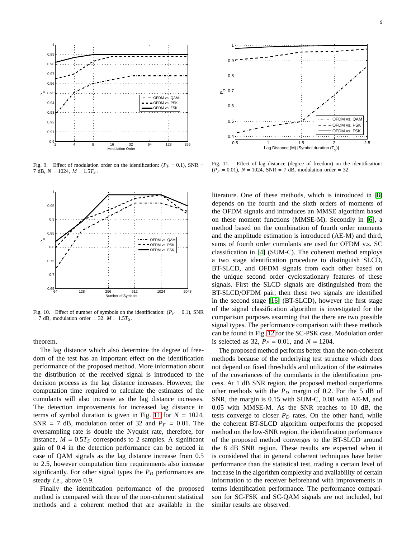

<span id="page-8-0"></span>Fig. 9. Effect of modulation order on the identification:  $(P_F = 0.1)$ , SNR = 7 dB,  $N = 1024$ ,  $M = 1.5T<sub>S</sub>$ 



<span id="page-8-1"></span>Fig. 10. Effect of number of symbols on the identification:  $(P_F = 0.1)$ , SNR  $= 7$  dB, modulation order  $= 32$ .  $M = 1.5T<sub>S</sub>$ .

theorem.

The lag distance which also determine the degree of freedom of the test has an important effect on the identification performance of the proposed method. More information about the distribution of the received signal is introduced to the decision process as the lag distance increases. However, the computation time required to calculate the estimates of the cumulants will also increase as the lag distance increases. The detection improvements for increased lag distance in terms of symbol duration is given in Fig. [11](#page-8-2) for  $N = 1024$ , SNR = 7 dB, modulation order of 32 and  $P_F = 0.01$ . The oversampling rate is double the Nyquist rate, therefore, for instance,  $M = 0.5T<sub>S</sub>$  corresponds to 2 samples. A significant gain of 0.4 in the detection performance can be noticed in case of QAM signals as the lag distance increase from 0.5 to 2.5, however computation time requirements also increase significantly. For other signal types the  $P<sub>D</sub>$  performances are steady *i.e.*, above 0.9.

Finally the identification performance of the proposed method is compared with three of the non-coherent statistical methods and a coherent method that are available in the



<span id="page-8-2"></span>Fig. 11. Effect of lag distance (degree of freedom) on the identification:  $(P_F = 0.01)$ ,  $N = 1024$ , SNR = 7 dB, modulation order = 32.

literature. One of these methods, which is introduced in [\[8\]](#page-11-6) depends on the fourth and the sixth orders of moments of the OFDM signals and introduces an MMSE algorithm based on these moment functions (MMSE-M). Secondly in [\[6\]](#page-11-4), a method based on the combination of fourth order moments and the amplitude estimation is introduced (AE-M) and third, sums of fourth order cumulants are used for OFDM v.s. SC classification in [\[4\]](#page-11-28) (SUM-C). The coherent method employs a two stage identification procedure to distinguish SLCD, BT-SLCD, and OFDM signals from each other based on the unique second order cyclostationary features of these signals. First the SLCD signals are distinguished from the BT-SLCD/OFDM pair, then these two signals are identified in the second stage [\[16\]](#page-11-14) (BT-SLCD), however the first stage of the signal classification algorithm is investigated for the comparison purposes assuming that the there are two possible signal types. The performance comparison with these methods can be found in Fig. [12](#page-9-1) for the SC-PSK case. Modulation order is selected as 32,  $P_F = 0.01$ , and  $N = 1204$ .

The proposed method performs better than the non-coherent methods because of the underlying test structure which does not depend on fixed thresholds and utilization of the estimates of the covariances of the cumulants in the identification process. At 1 dB SNR region, the proposed method outperforms other methods with the  $P_D$  margin of 0.2. For the 5 dB of SNR, the margin is 0.15 with SUM-C, 0.08 with AE-M, and 0.05 with MMSE-M. As the SNR reaches to 10 dB, the tests converge to closer  $P<sub>D</sub>$  rates. On the other hand, while the coherent BT-SLCD algorithm outperforms the proposed method on the low-SNR region, the identification performance of the proposed method converges to the BT-SLCD around the 8 dB SNR region. These results are expected when it is considered that in general coherent techniques have better performance than the statistical test, trading a certain level of increase in the algorithm complexity and availability of certain information to the receiver beforehand with improvements in terms identification performance. The performance comparison for SC-FSK and SC-QAM signals are not included, but similar results are observed.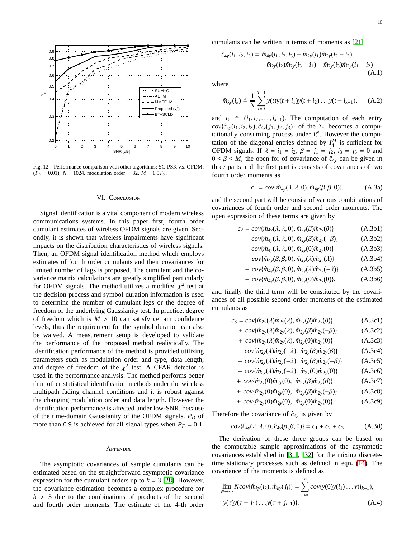

<span id="page-9-1"></span><span id="page-9-0"></span>Fig. 12. Performance comparison with other algorithms: SC-PSK v.s. OFDM,  $(P_F = 0.01)$ ,  $N = 1024$ , modulation order = 32,  $M = 1.5T_S$ .

# VI. CONCLUSION

Signal identification is a vital component of modern wireless communications systems. In this paper first, fourth order cumulant estimates of wireless OFDM signals are given. Secondly, it is shown that wireless impairments have significant impacts on the distribution characteristics of wireless signals. Then, an OFDM signal identification method which employs estimates of fourth order cumulants and their covariances for limited number of lags is proposed. The cumulant and the covariance matrix calculations are greatly simplified particularly for OFDM signals. The method utilizes a modified  $\chi^2$  test at the decision process and symbol duration information is used to determine the number of cumulant legs or the degree of freedom of the underlying Gaussianity test. In practice, degree of freedom which is  $M > 10$  can satisfy certain confidence levels, thus the requirement for the symbol duration can also be waived. A measurement setup is developed to validate the performance of the proposed method realistically. The identification performance of the method is provided utilizing parameters such as modulation order and type, data length, and degree of freedom of the  $\chi^2$  test. A CFAR detector is used in the performance analysis. The method performs better than other statistical identification methods under the wireless multipath fading channel conditions and it is robust against the changing modulation order and data length. However the identification performance is affected under low-SNR, because of the time-domain Gaussianity of the OFDM signals. *P<sub>D</sub>* of more than 0.9 is achieved for all signal types when  $P_F = 0.1$ .

#### **APPENDIX**

The asymptotic covariances of sample cumulants can be estimated based on the straightforward asymptotic covariance expression for the cumulant orders up to  $k = 3$  [\[28\]](#page-11-26). However, the covariance estimation becomes a complex procedure for  $k > 3$  due to the combinations of products of the second and fourth order moments. The estimate of the 4-th order cumulants can be written in terms of moments as [\[21\]](#page-11-19)

$$
\hat{c}_{4y}(i_1, i_2, i_3) = \hat{m}_{4y}(i_1, i_2, i_3) - \hat{m}_{2y}(i_1)\hat{m}_{2y}(i_2 - i_3) \n- \hat{m}_{2y}(i_2)\hat{m}_{2y}(i_3 - i_1) - \hat{m}_{2y}(i_3)\hat{m}_{2y}(i_1 - i_2)
$$
\n(A.1)

where

$$
\hat{m}_{ky}(i_k) \triangleq \frac{1}{N} \sum_{t=0}^{T-1} y(t) y(t+i_1) y(t+i_2) \dots y(t+i_{k-1}), \quad (A.2)
$$

and  $i_k \triangleq (i_1, i_2, \ldots, i_{k-1})$ . The computation of each entry  $cov{\hat{c}_{4y}(i_1, i_2, i_3), \hat{c}_{4y}(j_1, j_2, j_3)}$  of the  $\Sigma_c$  becomes a computationally consuming process under  $I_4^N$ . However the computation of the diagonal entries defined by  $I_4^M$  is sufficient for OFDM signals. If  $\lambda = i_1 = i_2$ ,  $\beta = j_1 = j_2$ ,  $i_3 = j_3 = 0$  and  $0 \leq \beta \leq M$ , the open for of covariance of  $\hat{c}_{4y}$  can be given in three parts and the first part is consists of covariances of two fourth order moments as

<span id="page-9-4"></span><span id="page-9-3"></span>
$$
c_1 = cov\{\hat{m}_{4y}(\lambda, \lambda, 0), \hat{m}_{4y}(\beta, \beta, 0)\},\tag{A.3a}
$$

and the second part will be consist of various combinations of covariances of fourth order and second order moments. The open expression of these terms are given by

$$
c_2 = cov\{\hat{m}_{4y}(\lambda, \lambda, 0), \hat{m}_{2y}(\beta)\hat{m}_{2y}(\beta)\}\tag{A.3b1}
$$

+ 
$$
cov{\hat{m}_{4y}(\lambda, \lambda, 0), \hat{m}_{2y}(\beta)\hat{m}_{2y}(-\beta)}
$$
 (A.3b2)

+ 
$$
cov{\hat{m}_{4y}(\lambda, \lambda, 0), \hat{m}_{2y}(0)\hat{m}_{2y}(0)}
$$
 (A.3b3)

+ 
$$
cov{\hat{m}_{4y}(\beta,\beta,0), \hat{m}_{2y}(\lambda)\hat{m}_{2y}(\lambda)}
$$
 (A.3b4)

+ 
$$
cov{\hat{m}_{4y}(\beta,\beta,0), \hat{m}_{2y}(\lambda)\hat{m}_{2y}(-\lambda)}
$$
 (A.3b5)

<span id="page-9-5"></span>+ 
$$
cov{\hat{m}_{4y}}(\beta, \beta, 0), \hat{m}_{2y}(0)\hat{m}_{2y}(0)
$$
, (A.3b6)

and finally the third term will be constituted by the covariances of all possible second order moments of the estimated cumulants as

$$
c_3 = cov\{\hat{m}_{2y}(\lambda)\hat{m}_{2y}(\lambda), \hat{m}_{2y}(\beta)\hat{m}_{2y}(\beta)\}\
$$
 (A.3c1)

+ 
$$
cov\{\hat{m}_{2y}(\lambda)\hat{m}_{2y}(\lambda), \hat{m}_{2y}(\beta)\hat{m}_{2y}(-\beta)\}
$$
 (A.3c2)

+ 
$$
cov{\hat{m}_{2y}(\lambda)\hat{m}_{2y}(\lambda), \hat{m}_{2y}(0)\hat{m}_{2y}(0)}
$$
 (A.3c3)

+ 
$$
cov{\hat{m}_{2y}(\lambda)\hat{m}_{2y}(-\lambda)}
$$
,  $\hat{m}_{2y}(\beta)\hat{m}_{2y}(\beta)$  } (A.3c4)

+ 
$$
cov{\hat{m}_{2y}(\lambda)\hat{m}_{2y}(-\lambda)}
$$
,  $\hat{m}_{2y}(\beta)\hat{m}_{2y}(-\beta)$  (A.3c5)

+ 
$$
cov{\hat{m}_{2y}(\lambda)\hat{m}_{2y}(-\lambda)}
$$
,  $\hat{m}_{2y}(0)\hat{m}_{2y}(0)$ } (A.3c6)

+ 
$$
cov{\hat{m}_{2y}(0)\hat{m}_{2y}(0)}
$$
,  $\hat{m}_{2y}(\beta)\hat{m}_{2y}(\beta)$  (A.3c7)

<span id="page-9-6"></span>+ 
$$
cov{\hat{m}_{2y}(0)\hat{m}_{2y}(0)}
$$
,  $\hat{m}_{2y}(\beta)\hat{m}_{2y}(-\beta)$  (A.3c8)

+ 
$$
cov{\hat{m}_{2y}(0)\hat{m}_{2y}(0)}
$$
,  $\hat{m}_{2y}(0)\hat{m}_{2y}(0)$ }. (A.3c9)

Therefore the covariance of  $\hat{c}_{4y}$  is given by

$$
cov{\hat{c}_{4y}(\lambda, \lambda, 0), \hat{c}_{4y}(\beta, \beta, 0)} = c_1 + c_2 + c_3. \tag{A.3d}
$$

The derivation of these three groups can be based on the computable sample approximations of the asymptotic covariances established in [\[31\]](#page-11-30), [\[32\]](#page-11-31) for the mixing discretetime stationary processes such as defined in eqn. [\(14\)](#page-3-4). The covariance of the moments is defined as

<span id="page-9-2"></span>
$$
\lim_{N \to \infty} Ncov\{\hat{m}_{ky}(i_k), \hat{m}_{ky}(j_l)\} = \sum_{-\infty}^{\infty} cov\{y(0)y(i_1) \dots y(i_{k-1}),
$$
  
 
$$
y(\tau)y(\tau + j_1) \dots y(\tau + j_{l-1})\}.
$$
 (A.4)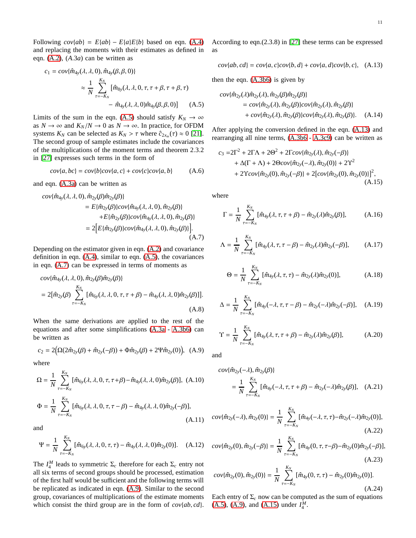Following  $cov(ab) = E(ab) - E(a)E(b)$  based on eqn. [\(A.4\)](#page-9-2) and replacing the moments with their estimates as defined in eqn. [\(A.2\)](#page-9-3), (*A*.3*a*) can be written as

$$
c_1 = cov\{\hat{m}_{4y}(\lambda, \lambda, 0), \hat{m}_{4y}(\beta, \beta, 0)\}\
$$

$$
\approx \frac{1}{N} \sum_{\tau=-K_N}^{K_N} [\hat{m}_{8y}(\lambda, \lambda, 0, \tau, \tau + \beta, \tau + \beta, \tau)\n- \hat{m}_{4y}(\lambda, \lambda, 0)\hat{m}_{4y}(\beta, \beta, 0)] \tag{A.5}
$$

Limits of the sum in the eqn. [\(A.5\)](#page-10-0) should satisfy  $K_N \to \infty$ as  $N \to \infty$  and  $K_N/N \to 0$  as  $N \to \infty$ . In practice, for OFDM systems  $K_N$  can be selected as  $K_N > \tau$  where  $\hat{c}_{2x_m}(\tau) \approx 0$  [\[21\]](#page-11-19). The second group of sample estimates include the covariances of the multiplications of the moment terms and theorem 2.3.2 in [\[27\]](#page-11-25) expresses such terms in the form of

$$
cov\{a, bc\} = cov\{b\} cov\{a, c\} + cov\{c\} cov\{a, b\}
$$
 (A.6)

and eqn. [\(A.3a\)](#page-9-4) can be written as

$$
cov{\hat{m}_{4y}(\lambda, \lambda, 0), \hat{m}_{2y}(\beta)\hat{m}_{2y}(\beta)}
$$
  
=  $E{\hat{m}_{2y}(\beta)}cov{\hat{m}_{4y}(\lambda, \lambda, 0), \hat{m}_{2y}(\beta)}$   
+  $E{\hat{m}_{2y}(\beta)}cov{\hat{m}_{4y}(\lambda, \lambda, 0), \hat{m}_{2y}(\beta)}$   
=  $2[E{\hat{m}_{2y}(\beta)}cov{\hat{m}_{4y}(\lambda, \lambda, 0), \hat{m}_{2y}(\beta)}].$   
(A.7)

Depending on the estimator given in eqn. [\(A.2\)](#page-9-3) and covariance definition in eqn. [\(A.4\)](#page-9-2), similar to eqn. [\(A.5\)](#page-10-0), the covariances in eqn. [\(A.7\)](#page-10-1) can be expressed in terms of moments as

$$
cov{\hat{m}_{4y}(\lambda, \lambda, 0), \hat{m}_{2y}(\beta)\hat{m}_{2y}(\beta)}
$$
  
= 2[ $\hat{m}_{2y}(\beta)$ 
$$
\sum_{\tau=-K_N}^{K_N} [\hat{m}_{6y}(\lambda, \lambda, 0, \tau, \tau + \beta) - \hat{m}_{4y}(\lambda, \lambda, 0)\hat{m}_{2y}(\beta)]].
$$
 (A.8)

When the same derivations are applied to the rest of the equations and after some simplifications [\(A.3a](#page-9-4) - [A.3b6\)](#page-9-5) can be written as

$$
c_2 = 2(\Omega(2\hat{m}_{2y}(\beta) + \hat{m}_{2y}(-\beta)) + \Phi \hat{m}_{2y}(\beta) + 2\Psi \hat{m}_{2y}(0)), \quad (A.9)
$$

where

$$
\Omega = \frac{1}{N} \sum_{\tau=-K_N}^{K_N} [\hat{m}_{6y}(\lambda, \lambda, 0, \tau, \tau + \beta) - \hat{m}_{4y}(\lambda, \lambda, 0)\hat{m}_{2y}(\beta)], \ (A.10)
$$

$$
\Phi = \frac{1}{N} \sum_{\tau=-K_N}^{K_N} [\hat{m}_{6y}(\lambda, \lambda, 0, \tau, \tau - \beta) - \hat{m}_{4y}(\lambda, \lambda, 0)\hat{m}_{2y}(-\beta)], \tag{A.11}
$$

and

$$
\Psi = \frac{1}{N} \sum_{\tau=-K_N}^{K_N} [\hat{m}_{6y}(\lambda, \lambda, 0, \tau, \tau) - \hat{m}_{4y}(\lambda, \lambda, 0) \hat{m}_{2y}(0)]. \quad (A.12)
$$

The  $I_4^M$  leads to symmetric  $\Sigma_c$  therefore for each  $\Sigma_c$  entry not all six terms of second groups should be processed, estimation of the first half would be sufficient and the following terms will be replicated as indicated in eqn. [\(A.9\)](#page-10-2). Similar to the second group, covariances of multiplications of the estimate moments which consist the third group are in the form of  $cov{ab, cd}$ . According to eqn.(2.3.8) in [\[27\]](#page-11-25) these terms can be expressed as

 $cov{ab, cd} = cov{a, c}cov{b, d} + cov{a, d}cov{b, c},$  (A.13)

then the eqn. [\(A.3b6\)](#page-9-5) is given by

<span id="page-10-3"></span><span id="page-10-0"></span>
$$
cov{\hat{m}}_{2y}(\lambda)\hat{m}_{2y}(\lambda), \hat{m}_{2y}(\beta)\hat{m}_{2y}(\beta)\}= cov{\hat{m}}_{2y}(\lambda), \hat{m}_{2y}(\beta)\}cov{\hat{m}}_{2y}(\lambda), \hat{m}_{2y}(\beta)\}+ cov{\hat{m}}_{2y}(\lambda), \hat{m}_{2y}(\beta)\}cov{\hat{m}}_{2y}(\lambda), \hat{m}_{2y}(\beta).
$$
 (A.14)

After applying the conversion defined in the eqn. [\(A.13\)](#page-10-3) and rearranging all nine terms, [\(A.3b6](#page-9-5) - [A.3c9\)](#page-9-6) can be written as

$$
c_3 = 2\Gamma^2 + 2\Gamma\Lambda + 2\Theta^2 + 2\Gamma cov\{\hat{m}_{2y}(\lambda), \hat{m}_{2y}(-\beta)\}\n+ \Delta(\Gamma + \Lambda) + 2\Theta cov\{\hat{m}_{2y}(-\lambda), \hat{m}_{2y}(0)\} + 2\Upsilon^2\n+ 2\Upsilon cov\{\hat{m}_{2y}(0), \hat{m}_{2y}(-\beta)\} + 2\left[ cov\{\hat{m}_{2y}(0), \hat{m}_{2y}(0)\}\right]^2,\n(A.15)
$$

where

<span id="page-10-4"></span>
$$
\Gamma = \frac{1}{N} \sum_{\tau=-K_N}^{K_N} [\hat{m}_{4y}(\lambda, \tau, \tau + \beta) - \hat{m}_{2y}(\lambda)\hat{m}_{2y}(\beta)],
$$
 (A.16)

<span id="page-10-1"></span>
$$
\Lambda = \frac{1}{N} \sum_{\tau=-K_N}^{K_N} [\hat{m}_{4y}(\lambda, \tau, \tau - \beta) - \hat{m}_{2y}(\lambda) \hat{m}_{2y}(-\beta)],
$$
 (A.17)

$$
\Theta = \frac{1}{N} \sum_{\tau=-K_N}^{K_N} [\hat{m}_{4y}(\lambda, \tau, \tau) - \hat{m}_{2y}(\lambda)\hat{m}_{2y}(0)],
$$
 (A.18)

$$
\Delta = \frac{1}{N} \sum_{\tau=-K_N}^{K_N} [\hat{m}_{4y}(-\lambda, \tau, \tau - \beta) - \hat{m}_{2y}(-\lambda)\hat{m}_{2y}(-\beta)], \quad \text{(A.19)}
$$

$$
\Upsilon = \frac{1}{N} \sum_{\tau=-K_N}^{K_N} [\hat{m}_{4y}(\lambda, \tau, \tau + \beta) - \hat{m}_{2y}(\lambda)\hat{m}_{2y}(\beta)],
$$
 (A.20)

<span id="page-10-2"></span>and

$$
cov{\hat{m}_{2y}(-\lambda), \hat{m}_{2y}(\beta)}
$$
  
=  $\frac{1}{N} \sum_{\tau=-K_N}^{K_N} [\hat{m}_{4y}(-\lambda, \tau, \tau + \beta) - \hat{m}_{2y}(-\lambda)\hat{m}_{2y}(\beta)],$  (A.21)

$$
cov\{\hat{m}_{2y}(-\lambda), \hat{m}_{2y}(0)\} = \frac{1}{N} \sum_{\tau=-K_N}^{K_N} [\hat{m}_{4y}(-\lambda, \tau, \tau) - \hat{m}_{2y}(-\lambda)\hat{m}_{2y}(0)],
$$
\n(A.22)

$$
cov\{\hat{m}_{2y}(0),\hat{m}_{2y}(-\beta)\} = \frac{1}{N} \sum_{\tau=-K_N}^{K_N} [\hat{m}_{4y}(0,\tau,\tau-\beta) - \hat{m}_{2y}(0)\hat{m}_{2y}(-\beta)],
$$
\n(A.23)

$$
cov{\hat{m}_{2y}(0), \hat{m}_{2y}(0)} = \frac{1}{N} \sum_{\tau=-K_N}^{K_N} [\hat{m}_{4y}(0, \tau, \tau) - \hat{m}_{2y}(0)\hat{m}_{2y}(0)].
$$
\n(A.24)

Each entry of  $\Sigma_c$  now can be computed as the sum of equations [\(A.5\)](#page-10-0), [\(A.9\)](#page-10-2), and [\(A.15\)](#page-10-4) under  $I_4^M$ .